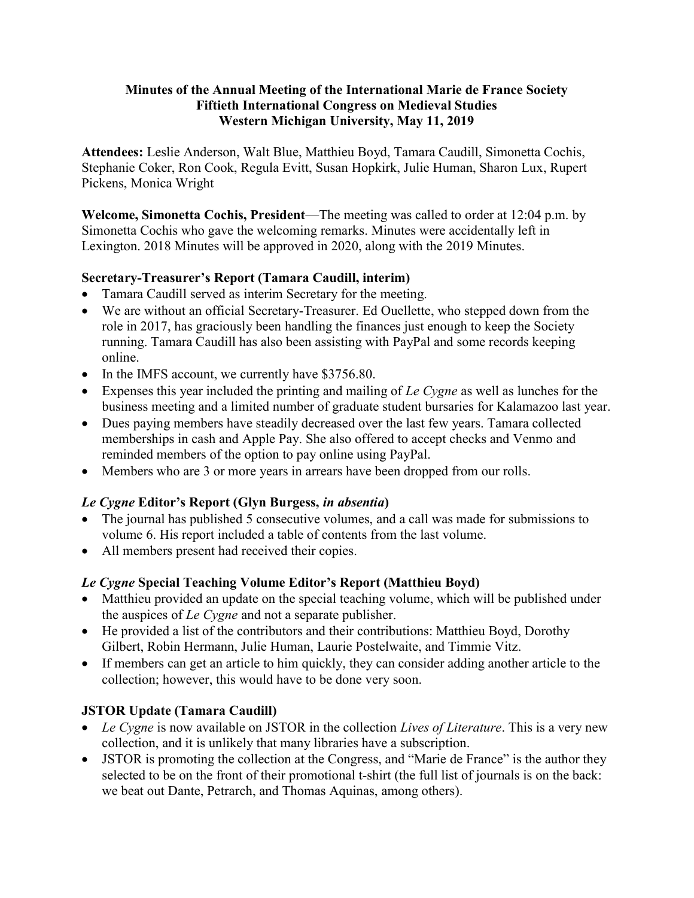### Minutes of the Annual Meeting of the International Marie de France Society Fiftieth International Congress on Medieval Studies Western Michigan University, May 11, 2019

Attendees: Leslie Anderson, Walt Blue, Matthieu Boyd, Tamara Caudill, Simonetta Cochis, Stephanie Coker, Ron Cook, Regula Evitt, Susan Hopkirk, Julie Human, Sharon Lux, Rupert Pickens, Monica Wright

Welcome, Simonetta Cochis, President—The meeting was called to order at 12:04 p.m. by Simonetta Cochis who gave the welcoming remarks. Minutes were accidentally left in Lexington. 2018 Minutes will be approved in 2020, along with the 2019 Minutes.

# Secretary-Treasurer's Report (Tamara Caudill, interim)

- Tamara Caudill served as interim Secretary for the meeting.
- We are without an official Secretary-Treasurer. Ed Ouellette, who stepped down from the role in 2017, has graciously been handling the finances just enough to keep the Society running. Tamara Caudill has also been assisting with PayPal and some records keeping online.
- In the IMFS account, we currently have \$3756.80.
- Expenses this year included the printing and mailing of Le Cygne as well as lunches for the business meeting and a limited number of graduate student bursaries for Kalamazoo last year.
- Dues paying members have steadily decreased over the last few years. Tamara collected memberships in cash and Apple Pay. She also offered to accept checks and Venmo and reminded members of the option to pay online using PayPal.
- Members who are 3 or more years in arrears have been dropped from our rolls.

# Le Cygne Editor's Report (Glyn Burgess, in absentia)

- The journal has published 5 consecutive volumes, and a call was made for submissions to volume 6. His report included a table of contents from the last volume.
- All members present had received their copies.

# Le Cygne Special Teaching Volume Editor's Report (Matthieu Boyd)

- Matthieu provided an update on the special teaching volume, which will be published under the auspices of  $Le Cygne$  and not a separate publisher.
- He provided a list of the contributors and their contributions: Matthieu Boyd, Dorothy Gilbert, Robin Hermann, Julie Human, Laurie Postelwaite, and Timmie Vitz.
- If members can get an article to him quickly, they can consider adding another article to the collection; however, this would have to be done very soon.

# JSTOR Update (Tamara Caudill)

- $\bullet$  Le Cygne is now available on JSTOR in the collection Lives of Literature. This is a very new collection, and it is unlikely that many libraries have a subscription.
- JSTOR is promoting the collection at the Congress, and "Marie de France" is the author they selected to be on the front of their promotional t-shirt (the full list of journals is on the back: we beat out Dante, Petrarch, and Thomas Aquinas, among others).